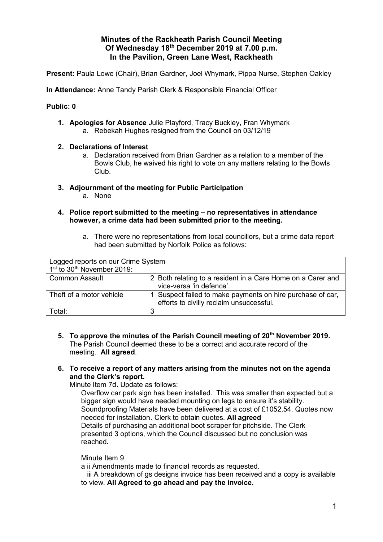## **Minutes of the Rackheath Parish Council Meeting Of Wednesday 18th December 2019 at 7.00 p.m. In the Pavilion, Green Lane West, Rackheath**

**Present:** Paula Lowe (Chair), Brian Gardner, Joel Whymark, Pippa Nurse, Stephen Oakley

**In Attendance:** Anne Tandy Parish Clerk & Responsible Financial Officer

### **Public: 0**

- **1. Apologies for Absence** Julie Playford, Tracy Buckley, Fran Whymark a. Rebekah Hughes resigned from the Council on 03/12/19
- **2. Declarations of Interest**
	- a. Declaration received from Brian Gardner as a relation to a member of the Bowls Club, he waived his right to vote on any matters relating to the Bowls Club.
- **3. Adjournment of the meeting for Public Participation**
	- a. None
- **4. Police report submitted to the meeting – no representatives in attendance however, a crime data had been submitted prior to the meeting.**
	- a. There were no representations from local councillors, but a crime data report had been submitted by Norfolk Police as follows:

| Logged reports on our Crime System<br>1st to 30 <sup>th</sup> November 2019: |   |                                                                                                        |
|------------------------------------------------------------------------------|---|--------------------------------------------------------------------------------------------------------|
| <b>Common Assault</b>                                                        |   | 2 Both relating to a resident in a Care Home on a Carer and<br>vice-versa 'in defence'.                |
| Theft of a motor vehicle                                                     |   | 1 Suspect failed to make payments on hire purchase of car,<br>efforts to civilly reclaim unsuccessful. |
| Total:                                                                       | 3 |                                                                                                        |

- **5. To approve the minutes of the Parish Council meeting of 20th November 2019.**  The Parish Council deemed these to be a correct and accurate record of the meeting. **All agreed**.
- **6. To receive a report of any matters arising from the minutes not on the agenda and the Clerk's report.**

Minute Item 7d. Update as follows:

Overflow car park sign has been installed. This was smaller than expected but a bigger sign would have needed mounting on legs to ensure it's stability. Soundproofing Materials have been delivered at a cost of £1052.54. Quotes now needed for installation. Clerk to obtain quotes. **All agreed** Details of purchasing an additional boot scraper for pitchside. The Clerk presented 3 options, which the Council discussed but no conclusion was reached.

### Minute Item 9

a ii Amendments made to financial records as requested.

 iii A breakdown of gs designs invoice has been received and a copy is available to view. **All Agreed to go ahead and pay the invoice.**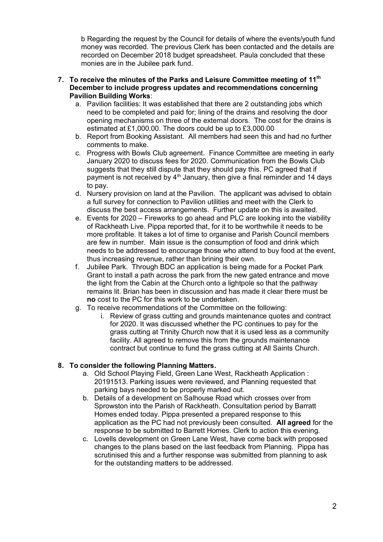b Regarding the request by the Council for details of where the events/youth fund money was recorded. The previous Clerk has been contacted and the details are recorded on December 2018 budget spreadsheet. Paula concluded that these monies are in the Jubilee park fund.

### **7. To receive the minutes of the Parks and Leisure Committee meeting of 11 th December to include progress updates and recommendations concerning Pavilion Building Works**:

- a. Pavilion facilities: It was established that there are 2 outstanding jobs which need to be completed and paid for; lining of the drains and resolving the door opening mechanisms on three of the external doors. The cost for the drains is estimated at £1,000.00. The doors could be up to £3,000.00
- b. Report from Booking Assistant. All members had seen this and had no further comments to make.
- c. Progress with Bowls Club agreement. Finance Committee are meeting in early January 2020 to discuss fees for 2020. Communication from the Bowls Club suggests that they still dispute that they should pay this. PC agreed that if payment is not received by  $4<sup>th</sup>$  January, then give a final reminder and 14 days to pay.
- d. Nursery provision on land at the Pavilion. The applicant was advised to obtain a full survey for connection to Pavilion utilities and meet with the Clerk to discuss the best access arrangements. Further update on this is awaited.
- e. Events for 2020 Fireworks to go ahead and PLC are looking into the viability of Rackheath Live. Pippa reported that, for it to be worthwhile it needs to be more profitable. It takes a lot of time to organise and Parish Council members are few in number. Main issue is the consumption of food and drink which needs to be addressed to encourage those who attend to buy food at the event, thus increasing revenue, rather than brining their own.
- f. Jubilee Park. Through BDC an application is being made for a Pocket Park Grant to install a path across the park from the new gated entrance and move the light from the Cabin at the Church onto a lightpole so that the pathway remains lit. Brian has been in discussion and has made it clear there must be **no** cost to the PC for this work to be undertaken.
- g. To receive recommendations of the Committee on the following:
	- i. Review of grass cutting and grounds maintenance quotes and contract for 2020. It was discussed whether the PC continues to pay for the grass cutting at Trinity Church now that it is used less as a community facility. All agreed to remove this from the grounds maintenance contract but continue to fund the grass cutting at All Saints Church.

## **8. To consider the following Planning Matters.**

- a. Old School Playing Field, Green Lane West, Rackheath Application : 20191513. Parking issues were reviewed, and Planning requested that parking bays needed to be properly marked out.
- b. Details of a development on Salhouse Road which crosses over from Sprowston into the Parish of Rackheath. Consultation period by Barratt Homes ended today. Pippa presented a prepared response to this application as the PC had not previously been consulted. **All agreed** for the response to be submitted to Barrett Homes. Clerk to action this evening.
- c. Lovells development on Green Lane West, have come back with proposed changes to the plans based on the last feedback from Planning. Pippa has scrutinised this and a further response was submitted from planning to ask for the outstanding matters to be addressed.